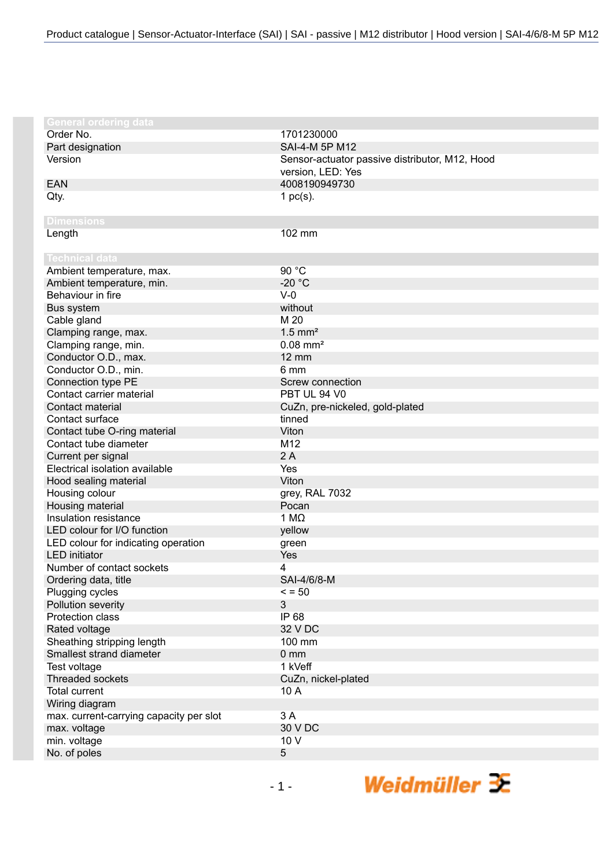| <b>General ordering data</b><br>Order No.<br>1701230000<br>SAI-4-M 5P M12<br>Part designation<br>Version<br>Sensor-actuator passive distributor, M12, Hood<br>version, LED: Yes<br>4008190949730<br><b>EAN</b><br>Qty.<br>1 $pc(s)$ .<br><b>Dimensions</b><br>Length<br>102 mm<br><b>Technical data</b> |
|---------------------------------------------------------------------------------------------------------------------------------------------------------------------------------------------------------------------------------------------------------------------------------------------------------|
|                                                                                                                                                                                                                                                                                                         |
|                                                                                                                                                                                                                                                                                                         |
|                                                                                                                                                                                                                                                                                                         |
|                                                                                                                                                                                                                                                                                                         |
|                                                                                                                                                                                                                                                                                                         |
|                                                                                                                                                                                                                                                                                                         |
|                                                                                                                                                                                                                                                                                                         |
|                                                                                                                                                                                                                                                                                                         |
|                                                                                                                                                                                                                                                                                                         |
|                                                                                                                                                                                                                                                                                                         |
|                                                                                                                                                                                                                                                                                                         |
| 90 °C<br>Ambient temperature, max.                                                                                                                                                                                                                                                                      |
| $-20 °C$<br>Ambient temperature, min.                                                                                                                                                                                                                                                                   |
| Behaviour in fire<br>$V-0$                                                                                                                                                                                                                                                                              |
| Bus system<br>without                                                                                                                                                                                                                                                                                   |
| M 20<br>Cable gland                                                                                                                                                                                                                                                                                     |
| $1.5$ mm <sup>2</sup><br>Clamping range, max.                                                                                                                                                                                                                                                           |
| Clamping range, min.<br>$0.08$ mm <sup>2</sup>                                                                                                                                                                                                                                                          |
| Conductor O.D., max.<br>$12 \text{ mm}$                                                                                                                                                                                                                                                                 |
| Conductor O.D., min.<br>6 mm                                                                                                                                                                                                                                                                            |
| Connection type PE<br>Screw connection                                                                                                                                                                                                                                                                  |
| Contact carrier material<br>PBT UL 94 V0                                                                                                                                                                                                                                                                |
| Contact material<br>CuZn, pre-nickeled, gold-plated                                                                                                                                                                                                                                                     |
| Contact surface<br>tinned                                                                                                                                                                                                                                                                               |
| Viton<br>Contact tube O-ring material                                                                                                                                                                                                                                                                   |
| Contact tube diameter<br>M12                                                                                                                                                                                                                                                                            |
| Current per signal<br>2A                                                                                                                                                                                                                                                                                |
| Electrical isolation available<br>Yes                                                                                                                                                                                                                                                                   |
| Viton<br>Hood sealing material                                                                                                                                                                                                                                                                          |
| Housing colour<br>grey, RAL 7032                                                                                                                                                                                                                                                                        |
| Housing material<br>Pocan                                                                                                                                                                                                                                                                               |
| Insulation resistance<br>1 M $\Omega$                                                                                                                                                                                                                                                                   |
| LED colour for I/O function<br>yellow                                                                                                                                                                                                                                                                   |
| LED colour for indicating operation<br>green                                                                                                                                                                                                                                                            |
| <b>LED</b> initiator<br>Yes                                                                                                                                                                                                                                                                             |
| Number of contact sockets<br>4                                                                                                                                                                                                                                                                          |
| Ordering data, title<br>SAI-4/6/8-M                                                                                                                                                                                                                                                                     |
| Plugging cycles<br>$\le$ = 50                                                                                                                                                                                                                                                                           |
| Pollution severity<br>3                                                                                                                                                                                                                                                                                 |
| IP 68<br><b>Protection class</b>                                                                                                                                                                                                                                                                        |
| 32 V DC<br>Rated voltage                                                                                                                                                                                                                                                                                |
| Sheathing stripping length<br>100 mm                                                                                                                                                                                                                                                                    |
| Smallest strand diameter<br>0 <sub>mm</sub>                                                                                                                                                                                                                                                             |
| 1 kVeff<br>Test voltage                                                                                                                                                                                                                                                                                 |
| <b>Threaded sockets</b><br>CuZn, nickel-plated                                                                                                                                                                                                                                                          |
| <b>Total current</b><br>10 A                                                                                                                                                                                                                                                                            |
| Wiring diagram                                                                                                                                                                                                                                                                                          |
| max. current-carrying capacity per slot<br>3 A                                                                                                                                                                                                                                                          |
| 30 V DC<br>max. voltage                                                                                                                                                                                                                                                                                 |
| 10 V<br>min. voltage                                                                                                                                                                                                                                                                                    |
| 5<br>No. of poles                                                                                                                                                                                                                                                                                       |

Weidmüller  $\mathcal{\mathcal{F}}$